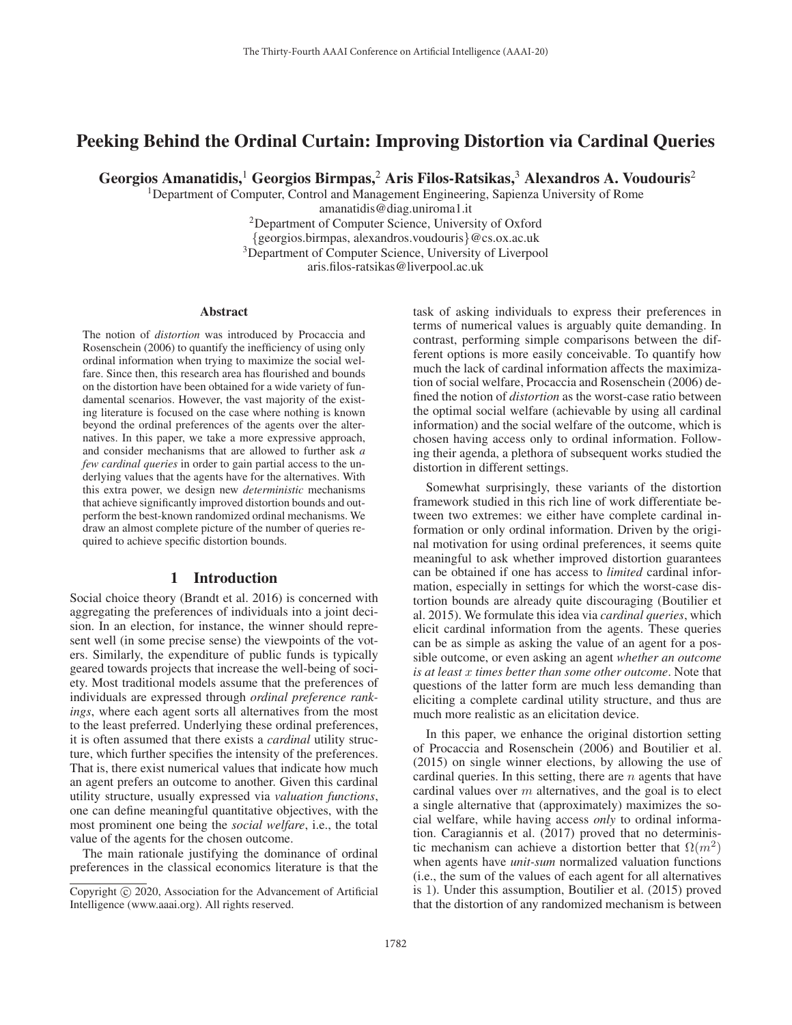# Peeking Behind the Ordinal Curtain: Improving Distortion via Cardinal Queries

Georgios Amanatidis,<sup>1</sup> Georgios Birmpas,<sup>2</sup> Aris Filos-Ratsikas,<sup>3</sup> Alexandros A. Voudouris<sup>2</sup>

1Department of Computer, Control and Management Engineering, Sapienza University of Rome

amanatidis@diag.uniroma1.it

2Department of Computer Science, University of Oxford

{georgios.birmpas, alexandros.voudouris}@cs.ox.ac.uk

<sup>3</sup>Department of Computer Science, University of Liverpool

aris.filos-ratsikas@liverpool.ac.uk

#### Abstract

The notion of *distortion* was introduced by Procaccia and Rosenschein (2006) to quantify the inefficiency of using only ordinal information when trying to maximize the social welfare. Since then, this research area has flourished and bounds on the distortion have been obtained for a wide variety of fundamental scenarios. However, the vast majority of the existing literature is focused on the case where nothing is known beyond the ordinal preferences of the agents over the alternatives. In this paper, we take a more expressive approach, and consider mechanisms that are allowed to further ask *a few cardinal queries* in order to gain partial access to the underlying values that the agents have for the alternatives. With this extra power, we design new *deterministic* mechanisms that achieve significantly improved distortion bounds and outperform the best-known randomized ordinal mechanisms. We draw an almost complete picture of the number of queries required to achieve specific distortion bounds.

## 1 Introduction

Social choice theory (Brandt et al. 2016) is concerned with aggregating the preferences of individuals into a joint decision. In an election, for instance, the winner should represent well (in some precise sense) the viewpoints of the voters. Similarly, the expenditure of public funds is typically geared towards projects that increase the well-being of society. Most traditional models assume that the preferences of individuals are expressed through *ordinal preference rankings*, where each agent sorts all alternatives from the most to the least preferred. Underlying these ordinal preferences, it is often assumed that there exists a *cardinal* utility structure, which further specifies the intensity of the preferences. That is, there exist numerical values that indicate how much an agent prefers an outcome to another. Given this cardinal utility structure, usually expressed via *valuation functions*, one can define meaningful quantitative objectives, with the most prominent one being the *social welfare*, i.e., the total value of the agents for the chosen outcome.

The main rationale justifying the dominance of ordinal preferences in the classical economics literature is that the

task of asking individuals to express their preferences in terms of numerical values is arguably quite demanding. In contrast, performing simple comparisons between the different options is more easily conceivable. To quantify how much the lack of cardinal information affects the maximization of social welfare, Procaccia and Rosenschein (2006) defined the notion of *distortion* as the worst-case ratio between the optimal social welfare (achievable by using all cardinal information) and the social welfare of the outcome, which is chosen having access only to ordinal information. Following their agenda, a plethora of subsequent works studied the distortion in different settings.

Somewhat surprisingly, these variants of the distortion framework studied in this rich line of work differentiate between two extremes: we either have complete cardinal information or only ordinal information. Driven by the original motivation for using ordinal preferences, it seems quite meaningful to ask whether improved distortion guarantees can be obtained if one has access to *limited* cardinal information, especially in settings for which the worst-case distortion bounds are already quite discouraging (Boutilier et al. 2015). We formulate this idea via *cardinal queries*, which elicit cardinal information from the agents. These queries can be as simple as asking the value of an agent for a possible outcome, or even asking an agent *whether an outcome is at least* x *times better than some other outcome*. Note that questions of the latter form are much less demanding than eliciting a complete cardinal utility structure, and thus are much more realistic as an elicitation device.

In this paper, we enhance the original distortion setting of Procaccia and Rosenschein (2006) and Boutilier et al. (2015) on single winner elections, by allowing the use of cardinal queries. In this setting, there are  $n$  agents that have cardinal values over  $m$  alternatives, and the goal is to elect a single alternative that (approximately) maximizes the social welfare, while having access *only* to ordinal information. Caragiannis et al. (2017) proved that no deterministic mechanism can achieve a distortion better that  $\Omega(m^2)$ when agents have *unit-sum* normalized valuation functions (i.e., the sum of the values of each agent for all alternatives is 1). Under this assumption, Boutilier et al. (2015) proved that the distortion of any randomized mechanism is between

Copyright  $\odot$  2020, Association for the Advancement of Artificial Intelligence (www.aaai.org). All rights reserved.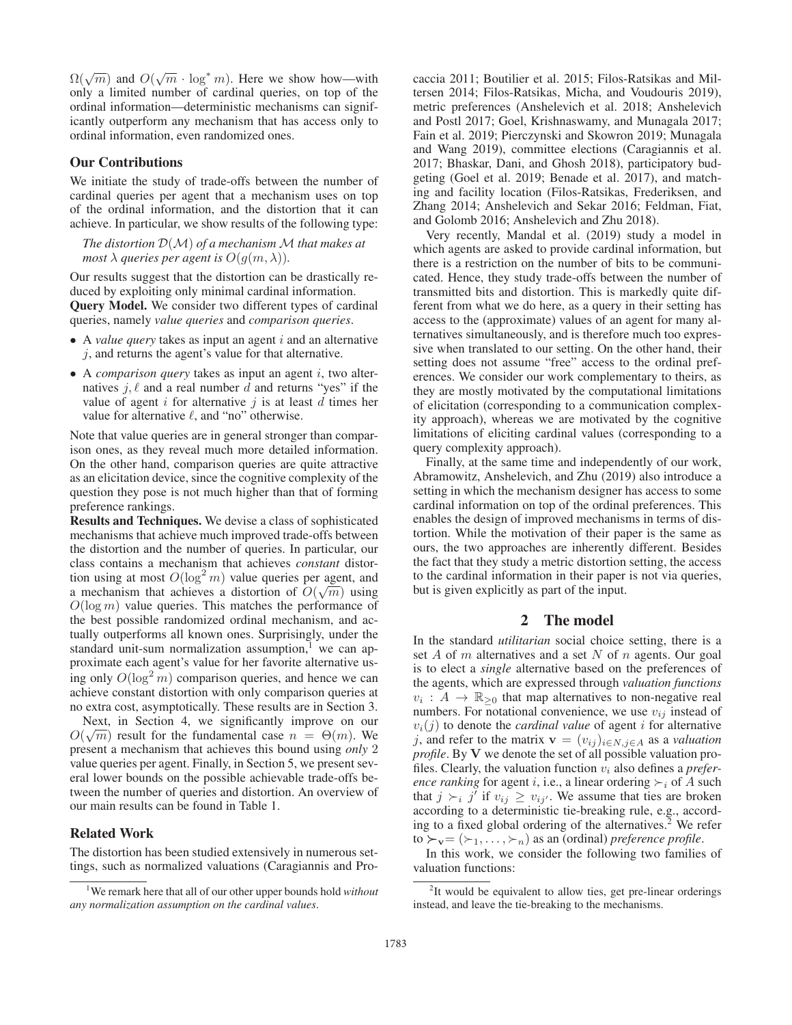$\Omega(\sqrt{m})$  and  $O(\sqrt{m} \cdot \log^* m)$ . Here we show how—with only a limited number of cardinal queries on top of the only a limited number of cardinal queries, on top of the ordinal information—deterministic mechanisms can significantly outperform any mechanism that has access only to ordinal information, even randomized ones.

## Our Contributions

We initiate the study of trade-offs between the number of cardinal queries per agent that a mechanism uses on top of the ordinal information, and the distortion that it can achieve. In particular, we show results of the following type:

*The distortion* <sup>D</sup>(M) *of a mechanism* <sup>M</sup> *that makes at most*  $\lambda$  *queries per agent is*  $O(q(m, \lambda))$ *.* 

Our results suggest that the distortion can be drastically reduced by exploiting only minimal cardinal information. Query Model. We consider two different types of cardinal queries, namely *value queries* and *comparison queries*.

- $\bullet$  A *value query* takes as input an agent i and an alternative  $j$ , and returns the agent's value for that alternative.
- A *comparison query* takes as input an agent i, two alternatives  $j, \ell$  and a real number d and returns "yes" if the value of agent  $i$  for alternative  $j$  is at least  $d$  times her value for alternative  $\ell$ , and "no" otherwise.

Note that value queries are in general stronger than comparison ones, as they reveal much more detailed information. On the other hand, comparison queries are quite attractive as an elicitation device, since the cognitive complexity of the question they pose is not much higher than that of forming preference rankings.

Results and Techniques. We devise a class of sophisticated mechanisms that achieve much improved trade-offs between the distortion and the number of queries. In particular, our class contains a mechanism that achieves *constant* distortion using at most  $O(\log^2 m)$  value queries per agent, and<br>a mechanism that achieves a distortion of  $O(\sqrt{m})$  using a mechanism that achieves a distortion of  $O(\sqrt{m})$  using  $O(\log m)$  value queries. This matches the performance of  $O(\log m)$  value queries. This matches the performance of the best possible randomized ordinal mechanism, and actually outperforms all known ones. Surprisingly, under the standard unit-sum normalization assumption, $<sup>1</sup>$  we can ap-</sup> proximate each agent's value for her favorite alternative using only  $O(\log^2 m)$  comparison queries, and hence we can<br>achieve constant distortion with only comparison queries at achieve constant distortion with only comparison queries at no extra cost, asymptotically. These results are in Section 3.

Next, in Section 4, we significantly improve on our Next, in section 4, we significantly improve on our  $O(\sqrt{m})$  result for the fundamental case  $n = \Theta(m)$ . We present a mechanism that achieves this bound using only 2. present a mechanism that achieves this bound using *only* 2 value queries per agent. Finally, in Section 5, we present several lower bounds on the possible achievable trade-offs between the number of queries and distortion. An overview of our main results can be found in Table 1.

#### Related Work

The distortion has been studied extensively in numerous settings, such as normalized valuations (Caragiannis and Procaccia 2011; Boutilier et al. 2015; Filos-Ratsikas and Miltersen 2014; Filos-Ratsikas, Micha, and Voudouris 2019), metric preferences (Anshelevich et al. 2018; Anshelevich and Postl 2017; Goel, Krishnaswamy, and Munagala 2017; Fain et al. 2019; Pierczynski and Skowron 2019; Munagala and Wang 2019), committee elections (Caragiannis et al. 2017; Bhaskar, Dani, and Ghosh 2018), participatory budgeting (Goel et al. 2019; Benade et al. 2017), and matching and facility location (Filos-Ratsikas, Frederiksen, and Zhang 2014; Anshelevich and Sekar 2016; Feldman, Fiat, and Golomb 2016; Anshelevich and Zhu 2018).

Very recently, Mandal et al. (2019) study a model in which agents are asked to provide cardinal information, but there is a restriction on the number of bits to be communicated. Hence, they study trade-offs between the number of transmitted bits and distortion. This is markedly quite different from what we do here, as a query in their setting has access to the (approximate) values of an agent for many alternatives simultaneously, and is therefore much too expressive when translated to our setting. On the other hand, their setting does not assume "free" access to the ordinal preferences. We consider our work complementary to theirs, as they are mostly motivated by the computational limitations of elicitation (corresponding to a communication complexity approach), whereas we are motivated by the cognitive limitations of eliciting cardinal values (corresponding to a query complexity approach).

Finally, at the same time and independently of our work, Abramowitz, Anshelevich, and Zhu (2019) also introduce a setting in which the mechanism designer has access to some cardinal information on top of the ordinal preferences. This enables the design of improved mechanisms in terms of distortion. While the motivation of their paper is the same as ours, the two approaches are inherently different. Besides the fact that they study a metric distortion setting, the access to the cardinal information in their paper is not via queries, but is given explicitly as part of the input.

## 2 The model

In the standard *utilitarian* social choice setting, there is a set  $A$  of  $m$  alternatives and a set  $N$  of  $n$  agents. Our goal is to elect a *single* alternative based on the preferences of the agents, which are expressed through *valuation functions*  $v_i : A \to \mathbb{R}_{\geq 0}$  that map alternatives to non-negative real numbers. For notational convenience, we use  $v_{ij}$  instead of  $v_i(j)$  to denote the *cardinal value* of agent *i* for alternative j, and refer to the matrix  $\mathbf{v} = (v_{ij})_{i \in N, j \in A}$  as a *valuation profile*. By **V** we denote the set of all possible valuation profiles. Clearly, the valuation function  $v_i$  also defines a *preference ranking* for agent *i*, i.e., a linear ordering  $\succ_i$  of A such that  $j \succ_i j'$  if  $v_{ij} \ge v_{ij'}$ . We assume that ties are broken according to a deterministic tie-breaking rule, e.g., according to a fixed global ordering of the alternatives.<sup>2</sup> We refer to  $\succ_{\mathbf{v}} = (\succ_1, \ldots, \succ_n)$  as an (ordinal) *preference profile*.<br>In this work, we consider the following two families

In this work, we consider the following two families of valuation functions:

<sup>1</sup> We remark here that all of our other upper bounds hold *without any normalization assumption on the cardinal values*.

<sup>&</sup>lt;sup>2</sup>It would be equivalent to allow ties, get pre-linear orderings instead, and leave the tie-breaking to the mechanisms.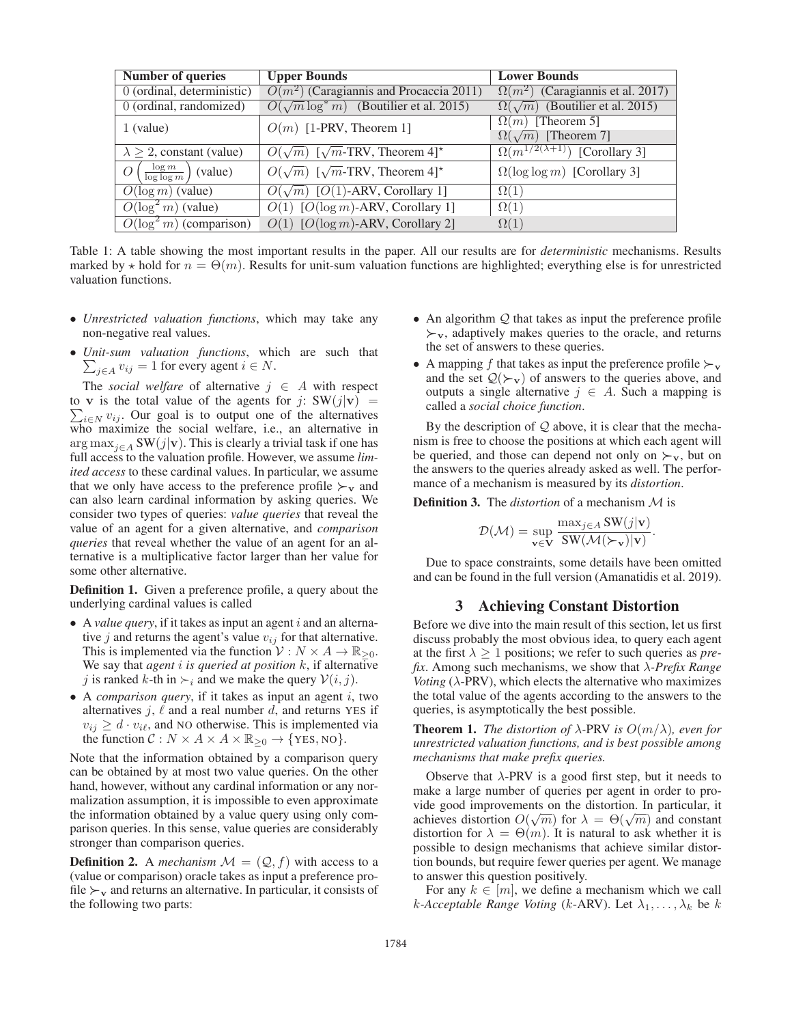| Number of queries                    | <b>Upper Bounds</b>                                      | <b>Lower Bounds</b>                        |
|--------------------------------------|----------------------------------------------------------|--------------------------------------------|
| $0$ (ordinal, deterministic)         | $O(m^2)$ (Caragiannis and Procaccia 2011)                | $\Omega(m^2)$ (Caragiannis et al. 2017)    |
| 0 (ordinal, randomized)              | $O(\sqrt{m} \log^* m)$ (Boutilier et al. 2015)           | $\Omega(\sqrt{m})$ (Boutilier et al. 2015) |
| $1$ (value)                          | $O(m)$ [1-PRV, Theorem 1]                                | $\Omega(m)$ [Theorem 5]                    |
|                                      |                                                          | $\Omega(\sqrt{m})$ [Theorem 7]             |
| $\lambda \geq 2$ , constant (value)  | $O(\sqrt{m})$ [ $\sqrt{m}$ -TRV, Theorem 4] <sup>*</sup> | $\Omega(m^{1/2(\lambda+1)})$ [Corollary 3] |
| $\frac{\log m}{\log \log m}$ (value) | $O(\sqrt{m})$ [ $\sqrt{m}$ -TRV, Theorem 4]*             | $\Omega(\log \log m)$ [Corollary 3]        |
| $O(\log m)$ (value)                  | $\overline{O(\sqrt{m})~[O(1)$ -ARV, Corollary 1]         | $\Omega(1)$                                |
| $O(\log^2 m)$ (value)                | $O(1)$ [ $O(\log m)$ -ARV, Corollary 1]                  | $\Omega(1)$                                |
| $O(\log^2 m)$ (comparison)           | $O(1)$ [ $O(\log m)$ -ARV, Corollary 2]                  | $\Omega(1)$                                |
|                                      |                                                          |                                            |

Table 1: A table showing the most important results in the paper. All our results are for *deterministic* mechanisms. Results marked by  $\star$  hold for  $n = \Theta(m)$ . Results for unit-sum valuation functions are highlighted; everything else is for unrestricted valuation functions.

- *Unrestricted valuation functions*, which may take any non-negative real values.
- *Unit-sum valuation functions* , which are such that  $\sum_{j\in A} v_{ij} = 1$  for every agent  $i \in N$ .

The *social welfare* of alternative  $j \in A$  with respect to **v** is the total value of the agents for j:  $SW(j|\mathbf{v}) = \sum_{i \in N} v_{ij}$ . Our goal is to output one of the alternatives who maximize the social welfare, i.e., an alternative in arg max<sub>j∈A</sub> SW(j|**v**). This is clearly a trivial task if one has full access to the valuation profile. However, we assume *limited access* to these cardinal values. In particular, we assume that we only have access to the preference profile  $\succ_v$  and can also learn cardinal information by asking queries. We consider two types of queries: *value queries* that reveal the value of an agent for a given alternative, and *comparison queries* that reveal whether the value of an agent for an alternative is a multiplicative factor larger than her value for some other alternative.

Definition 1. Given a preference profile, a query about the underlying cardinal values is called

- A *value query*, if it takes as input an agent *i* and an alternative j and returns the agent's value  $v_{ij}$  for that alternative. This is implemented via the function  $V: N \times A \rightarrow \mathbb{R}_{\geq 0}$ . We say that *agent* i *is queried at position* k, if alternative j is ranked k-th in  $\succ_i$  and we make the query  $V(i, j)$ .
- A *comparison query*, if it takes as input an agent *i*, two alternatives  $j$ ,  $\ell$  and a real number  $d$ , and returns YES if  $v_{ij} \geq d \cdot v_{i\ell}$ , and NO otherwise. This is implemented via the function  $C : N \times A \times A \times \mathbb{R}_{\geq 0} \rightarrow \{\text{YES}, \text{NO}\}.$

Note that the information obtained by a comparison query can be obtained by at most two value queries. On the other hand, however, without any cardinal information or any normalization assumption, it is impossible to even approximate the information obtained by a value query using only comparison queries. In this sense, value queries are considerably stronger than comparison queries.

**Definition 2.** A *mechanism*  $\mathcal{M} = (Q, f)$  with access to a (value or comparison) oracle takes as input a preference profile  $\succ_{\mathbf{v}}$  and returns an alternative. In particular, it consists of the following two parts:

- An algorithm  $Q$  that takes as input the preference profile *-***<sup>v</sup>**, adaptively makes queries to the oracle, and returns the set of answers to these queries.
- A mapping f that takes as input the preference profile  $\succ$ <sub>v</sub> and the set  $\mathcal{Q}(\succ_{\mathbf{v}})$  of answers to the queries above, and outputs a single alternative  $i \in A$ . Such a mapping is outputs a single alternative  $j \in A$ . Such a mapping is called a *social choice function*.

By the description of  $Q$  above, it is clear that the mechanism is free to choose the positions at which each agent will be queried, and those can depend not only on  $\succsim$  w, but on the answers to the queries already asked as well. The performance of a mechanism is measured by its *distortion*.

Definition 3. The *distortion* of a mechanism M is

$$
\mathcal{D}(\mathcal{M}) = \sup_{\mathbf{v} \in \mathbf{V}} \frac{\max_{j \in A} SW(j|\mathbf{v})}{SW(\mathcal{M}(\succ_{\mathbf{v}})|\mathbf{v})}.
$$

Due to space constraints, some details have been omitted and can be found in the full version (Amanatidis et al. 2019).

## 3 Achieving Constant Distortion

Before we dive into the main result of this section, let us first discuss probably the most obvious idea, to query each agent at the first  $\lambda \geq 1$  positions; we refer to such queries as *prefix*. Among such mechanisms, we show that λ*-Prefix Range Voting*  $(\lambda$ -PRV), which elects the alternative who maximizes the total value of the agents according to the answers to the queries, is asymptotically the best possible.

**Theorem 1.** *The distortion of*  $\lambda$ -PRV *is*  $O(m/\lambda)$ *, even for unrestricted valuation functions, and is best possible among mechanisms that make prefix queries.*

Observe that  $\lambda$ -PRV is a good first step, but it needs to make a large number of queries per agent in order to provide good improvements on the distortion. In particular, it vide good improvements on the distortion. In particular, it<br>achieves distortion  $O(\sqrt{m})$  for  $\lambda = \Theta(\sqrt{m})$  and constant<br>distortion for  $\lambda = \Theta(m)$  It is natural to ask whether it is distortion for  $\lambda = \Theta(m)$ . It is natural to ask whether it is possible to design mechanisms that achieve similar distortion bounds, but require fewer queries per agent. We manage to answer this question positively.

For any  $k \in [m]$ , we define a mechanism which we call k-Acceptable Range Voting (k-ARV). Let  $\lambda_1, \ldots, \lambda_k$  be k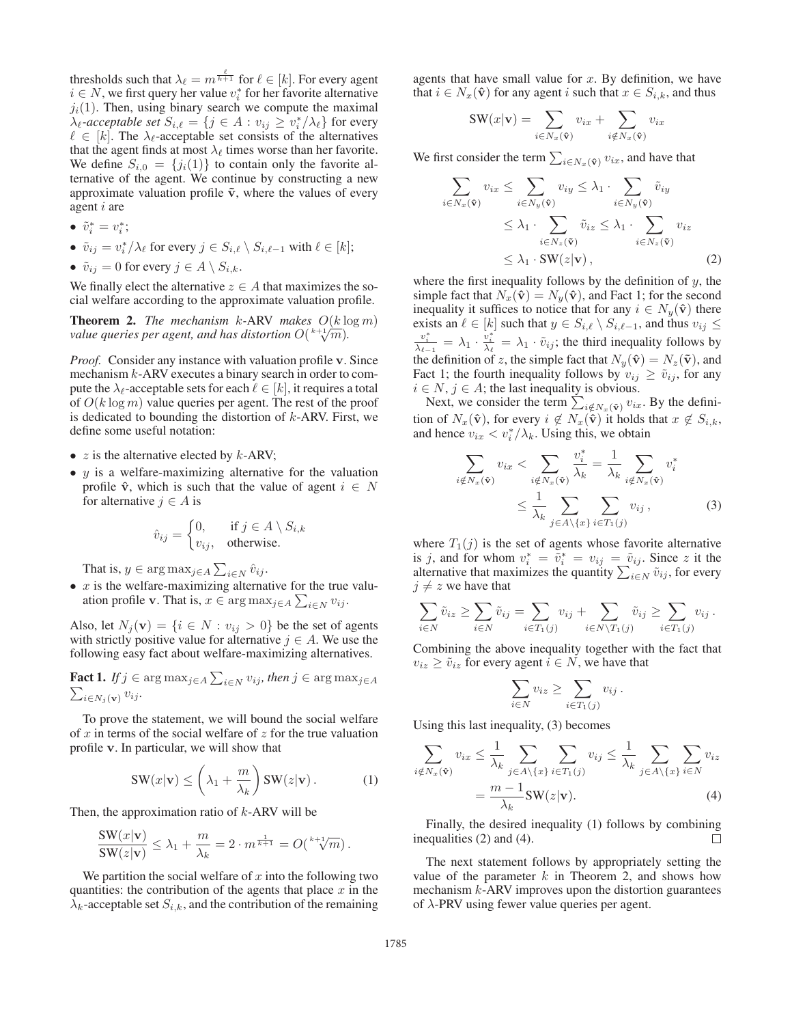thresholds such that  $\lambda_{\ell} = m^{\frac{\ell}{k+1}}$  for  $\ell \in [k]$ . For every agent  $i \in N$  we first query her value  $v^*$  for her favorite alternative  $i \in N$ , we first query her value  $v_i^*$  for her favorite alternative  $j_i(1)$ . Then, using binary search we compute the maximal  $\lambda_{\ell}$ -acceptable set  $S_{i,\ell} = \{j \in A : v_{ij} \ge v_i^* / \lambda_{\ell} \}$  for every  $\ell \in [k]$ . The  $\lambda_{\ell}$ -acceptable set consists of the alternatives  $\ell \in [k]$ . The  $\lambda_{\ell}$ -acceptable set consists of the alternatives that the agent finds at most  $\lambda_{\ell}$  times worse than her favorite. We define  $S_{i,0} = \{j_i(1)\}\$ to contain only the favorite alternative of the agent. We continue by constructing a new approximate valuation profile  $\tilde{v}$ , where the values of every agent i are

- $\tilde{v}_i^* = v_i^*$ ;
- $\tilde{v}_{ij} = v_i^* / \lambda_\ell$  for every  $j \in S_{i,\ell} \setminus S_{i,\ell-1}$  with  $\ell \in [k]$ ;
- $\tilde{v}_{ij} = 0$  for every  $j \in A \setminus S_{i,k}$ .

We finally elect the alternative  $z \in A$  that maximizes the social welfare according to the approximate valuation profile.

**Theorem 2.** *The mechanism k*-ARV *makes*  $O(k \log m)$ *value queries per agent, and has distortion*  $O(\sqrt[k+1]{m})$ .

*Proof.* Consider any instance with valuation profile **v**. Since mechanism  $k$ -ARV executes a binary search in order to compute the  $\lambda_{\ell}$ -acceptable sets for each  $\ell \in [k]$ , it requires a total of  $O(k \log m)$  value queries per agent. The rest of the proof is dedicated to bounding the distortion of  $k$ -ARV. First, we define some useful notation:

- $z$  is the alternative elected by  $k$ -ARV;
- $y$  is a welfare-maximizing alternative for the valuation profile  $\hat{\mathbf{v}}$ , which is such that the value of agent  $i \in N$ for alternative  $j \in A$  is

$$
\hat{v}_{ij} = \begin{cases} 0, & \text{if } j \in A \setminus S_{i,k} \\ v_{ij}, & \text{otherwise.} \end{cases}
$$

That is,  $y \in \arg \max_{j \in A} \sum_{i \in N} \hat{v}_{ij}$ .<br>  $\hat{v}_{ij}$  is the veloce maximizing elternation

•  $x$  is the welfare-maximizing alternative for the true valuation profile **v**. That is,  $x \in \arg \max_{j \in A} \sum_{i \in N} v_{ij}$ .

Also, let  $N_j(\mathbf{v}) = \{i \in N : v_{ij} > 0\}$  be the set of agents with strictly positive value for alternative  $j \in A$ . We use the following easy fact about welfare-maximizing alternatives.

**Fact 1.** *If* 
$$
j \in \arg \max_{j \in A} \sum_{i \in N} v_{ij}
$$
, then  $j \in \arg \max_{j \in A} \sum_{i \in N_j(v)} v_{ij}$ .

To prove the statement, we will bound the social welfare of  $x$  in terms of the social welfare of  $z$  for the true valuation profile **v**. In particular, we will show that

$$
\mathbf{SW}(x|\mathbf{v}) \le \left(\lambda_1 + \frac{m}{\lambda_k}\right) \mathbf{SW}(z|\mathbf{v}). \tag{1}
$$

Then, the approximation ratio of  $k$ -ARV will be

$$
\frac{\mathrm{SW}(x|\mathbf{v})}{\mathrm{SW}(z|\mathbf{v})} \le \lambda_1 + \frac{m}{\lambda_k} = 2 \cdot m^{\frac{1}{k+1}} = O\left(\sqrt[k+1]{m}\right).
$$

We partition the social welfare of  $x$  into the following two quantities: the contribution of the agents that place  $x$  in the  $\lambda_k$ -acceptable set  $S_{i,k}$ , and the contribution of the remaining

agents that have small value for  $x$ . By definition, we have that  $i \in N_x(\hat{\mathbf{v}})$  for any agent i such that  $x \in S_{i,k}$ , and thus

$$
SW(x|\mathbf{v}) = \sum_{i \in N_x(\hat{\mathbf{v}})} v_{ix} + \sum_{i \notin N_x(\hat{\mathbf{v}})} v_{ix}
$$

We first consider the term  $\sum_{i \in N_x(\hat{\mathbf{v}})} v_{ix}$ , and have that

$$
\sum_{i \in N_x(\hat{\mathbf{v}})} v_{ix} \leq \sum_{i \in N_y(\hat{\mathbf{v}})} v_{iy} \leq \lambda_1 \cdot \sum_{i \in N_y(\hat{\mathbf{v}})} \tilde{v}_{iy} \leq \lambda_1 \cdot \sum_{i \in N_z(\tilde{\mathbf{v}})} \tilde{v}_{iz} \leq \lambda_1 \cdot \sum_{i \in N_z(\tilde{\mathbf{v}})} v_{iz} \leq \lambda_1 \cdot \text{SW}(z|\mathbf{v}),
$$
\n(2)

where the first inequality follows by the definition of  $y$ , the simple fact that  $N_x(\hat{\mathbf{v}}) = N_y(\hat{\mathbf{v}})$ , and Fact 1; for the second inequality it suffices to notice that for any  $i \in N_y(\hat{\mathbf{v}})$  there exists an  $\ell \in [k]$  such that  $y \in S_{i,\ell} \setminus S_{i,\ell-1}$ , and thus  $v_{ij} \leq$  $\frac{v_i^*}{\lambda_{k-1}} = \lambda_1 \cdot \frac{v_i^*}{\lambda_k} = \lambda_1 \cdot \tilde{v}_{ij}$ ; the third inequality follows by the definition of z, the simple fact that  $N_y(\hat{\mathbf{v}}) = N_z(\tilde{\mathbf{v}})$ , and Fact 1; the fourth inequality follows by  $v_{ij} \ge \tilde{v}_{ij}$ , for any  $i \in N$ ,  $j \in A$ ; the last inequality is obvious.

Next, we consider the term  $\sum_{i \notin N_x(\hat{\mathbf{v}})} v_{ix}$ . By the defini-<br>n of  $N_x(\hat{\mathbf{v}})$  for even  $i \notin N_y(\hat{\mathbf{v}})$  it holds that  $x \notin S$ tion of  $N_x(\hat{\mathbf{v}})$ , for every  $i \notin N_x(\hat{\mathbf{v}})$  it holds that  $x \notin S_{i,k}$ , and hence  $v_{ix} < v_i^* / \lambda_k$ . Using this, we obtain

$$
\sum_{i \notin N_x(\hat{\mathbf{v}})} v_{ix} < \sum_{i \notin N_x(\hat{\mathbf{v}})} \frac{v_i^*}{\lambda_k} = \frac{1}{\lambda_k} \sum_{i \notin N_x(\hat{\mathbf{v}})} v_i^*
$$
\n
$$
\leq \frac{1}{\lambda_k} \sum_{j \in A \setminus \{x\}} \sum_{i \in T_1(j)} v_{ij}, \tag{3}
$$

where  $T_1(j)$  is the set of agents whose favorite alternative is j, and for whom  $v_i^* = \tilde{v}_i^* = v_{ij} = \tilde{v}_{ij}$ . Since z it the alternative that maximizes the quantity  $\sum_{i \in N} \tilde{v}_{ij}$ , for every  $i \neq z$  we have that  $j \neq z$  we have that

$$
\sum_{i \in N} \tilde{v}_{iz} \ge \sum_{i \in N} \tilde{v}_{ij} = \sum_{i \in T_1(j)} v_{ij} + \sum_{i \in N \setminus T_1(j)} \tilde{v}_{ij} \ge \sum_{i \in T_1(j)} v_{ij}.
$$

Combining the above inequality together with the fact that  $v_{iz} \geq \tilde{v}_{iz}$  for every agent  $i \in N$ , we have that

$$
\sum_{i \in N} v_{iz} \ge \sum_{i \in T_1(j)} v_{ij} .
$$

Using this last inequality, (3) becomes

$$
\sum_{i \notin N_x(\hat{\mathbf{v}})} v_{ix} \leq \frac{1}{\lambda_k} \sum_{j \in A \setminus \{x\}} \sum_{i \in T_1(j)} v_{ij} \leq \frac{1}{\lambda_k} \sum_{j \in A \setminus \{x\}} \sum_{i \in N} v_{iz}
$$

$$
= \frac{m - 1}{\lambda_k} \text{SW}(z|\mathbf{v}). \tag{4}
$$

Finally, the desired inequality (1) follows by combining inequalities (2) and (4).  $\Box$ 

The next statement follows by appropriately setting the value of the parameter  $k$  in Theorem 2, and shows how mechanism  $k$ -ARV improves upon the distortion guarantees of  $\lambda$ -PRV using fewer value queries per agent.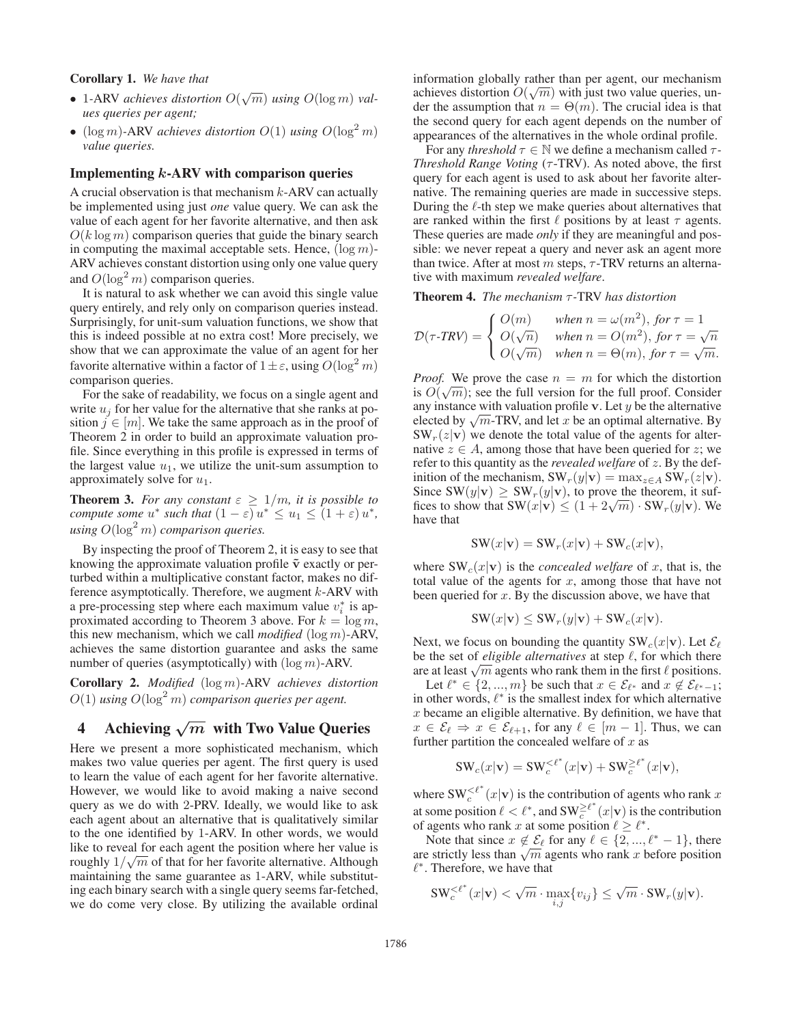## Corollary 1. *We have that*

- 1-ARV *achieves distortion*  $O(\sqrt{m})$  *using*  $O(\log m)$  *val-*<br>*ues queries per goent ues queries per agent;*
- (log m)-ARV *achieves distortion*  $O(1)$  *using*  $O(\log^2 m)$ <br>value queries *value queries.*

#### Implementing *k*-ARV with comparison queries

A crucial observation is that mechanism  $k$ -ARV can actually be implemented using just *one* value query. We can ask the value of each agent for her favorite alternative, and then ask  $O(k \log m)$  comparison queries that guide the binary search in computing the maximal acceptable sets. Hence,  $(\log m)$ -ARV achieves constant distortion using only one value query and  $O(\log^2 m)$  comparison queries.<br>It is natural to ask whether we can

It is natural to ask whether we can avoid this single value query entirely, and rely only on comparison queries instead. Surprisingly, for unit-sum valuation functions, we show that this is indeed possible at no extra cost! More precisely, we show that we can approximate the value of an agent for her favorite alternative within a factor of  $1 \pm \varepsilon$ , using  $O(\log^2 m)$ <br>comparison queries comparison queries.

For the sake of readability, we focus on a single agent and write  $u_i$  for her value for the alternative that she ranks at position  $j \in [m]$ . We take the same approach as in the proof of Theorem 2 in order to build an approximate valuation profile. Since everything in this profile is expressed in terms of the largest value  $u_1$ , we utilize the unit-sum assumption to approximately solve for  $u_1$ .

**Theorem 3.** *For any constant*  $\varepsilon \geq 1/m$ *, it is possible to compute some*  $u^*$  *such that*  $(1 - \varepsilon) u^* \le u_1 \le (1 + \varepsilon) u^*$ ,  $using\ O(\log^2 m)$  *comparison queries.* 

By inspecting the proof of Theorem 2, it is easy to see that knowing the approximate valuation profile  $\tilde{v}$  exactly or perturbed within a multiplicative constant factor, makes no difference asymptotically. Therefore, we augment k-ARV with a pre-processing step where each maximum value  $v_i^*$  is approximated according to Theorem 3 above. For  $k = \log m$ , this new mechanism, which we call *modified* (log <sup>m</sup>)-ARV, achieves the same distortion guarantee and asks the same number of queries (asymptotically) with  $(\log m)$ -ARV.

Corollary 2. *Modified* (log <sup>m</sup>)*-*ARV *achieves distortion*  $O(1)$  using  $O(\log^2 m)$  comparison queries per agent.

# 4 Achieving *<sup>√</sup><sup>m</sup>* with Two Value Queries

Here we present a more sophisticated mechanism, which makes two value queries per agent. The first query is used to learn the value of each agent for her favorite alternative. However, we would like to avoid making a naive second query as we do with 2-PRV. Ideally, we would like to ask each agent about an alternative that is qualitatively similar to the one identified by 1-ARV. In other words, we would like to reveal for each agent the position where her value is roughly  $1/\sqrt{m}$  of that for her favorite alternative. Although maintaining the same quarantee as  $1-ARV$  while substitute maintaining the same guarantee as 1-ARV, while substituting each binary search with a single query seems far-fetched, we do come very close. By utilizing the available ordinal

information globally rather than per agent, our mechanism mformation globally rather than per agent, our mechanism<br>achieves distortion  $O(\sqrt{m})$  with just two value queries, un-<br>der the assumption that  $n = \Theta(m)$ . The crucial idea is that der the assumption that  $n = \Theta(m)$ . The crucial idea is that the second query for each agent depends on the number of appearances of the alternatives in the whole ordinal profile.

For any *threshold*  $\tau \in \mathbb{N}$  we define a mechanism called  $\tau$ -*Threshold Range Voting* (τ-TRV). As noted above, the first query for each agent is used to ask about her favorite alternative. The remaining queries are made in successive steps. During the  $\ell$ -th step we make queries about alternatives that are ranked within the first  $\ell$  positions by at least  $\tau$  agents. These queries are made *only* if they are meaningful and possible: we never repeat a query and never ask an agent more than twice. After at most  $m$  steps,  $\tau$ -TRV returns an alternative with maximum *revealed welfare*.

Theorem 4. *The mechanism* τ *-*TRV *has distortion*

$$
\mathcal{D}(\tau\text{-}TRV) = \begin{cases} O(m) & when \ n = \omega(m^2), \text{ for } \tau = 1 \\ O(\sqrt{n}) & when \ n = O(m^2), \text{ for } \tau = \sqrt{n} \\ O(\sqrt{m}) & when \ n = \Theta(m), \text{ for } \tau = \sqrt{m}. \end{cases}
$$

*Proof.* We prove the case  $n = m$  for which the distortion *Proof.* We prove the case  $n = m$  for which the distortion<br>is  $O(\sqrt{m})$ ; see the full version for the full proof. Consider<br>any instance with valuation profile y Let u be the alternative any instance with valuation profile  $\bf{v}$ . Let  $y$  be the alternative elected by  $\sqrt{m}$ -TRV, and let x be an optimal alternative. By  $SW_r(z|\mathbf{v})$  we denote the total value of the agents for alternative  $z \in A$ , among those that have been queried for z; we refer to this quantity as the *revealed welfare* of z. By the definition of the mechanism,  $SW_r(y|\mathbf{v}) = \max_{z \in A} SW_r(z|\mathbf{v}).$ Since  $SW(y|\mathbf{v}) \geq SW_r(y|\mathbf{v})$ , to prove the theorem, it suffices to show that  $SW(x|\mathbf{v}) \leq (1 + 2\sqrt{m}) \cdot SW_r(y|\mathbf{v})$ . We have that

$$
SW(x|\mathbf{v}) = SW_r(x|\mathbf{v}) + SW_c(x|\mathbf{v}),
$$

where  $SW_c(x|\mathbf{v})$  is the *concealed welfare* of x, that is, the total value of the agents for  $x$ , among those that have not been queried for  $x$ . By the discussion above, we have that

$$
SW(x|\mathbf{v}) \leq SW_r(y|\mathbf{v}) + SW_c(x|\mathbf{v}).
$$

Next, we focus on bounding the quantity  $SW_c(x|\mathbf{v})$ . Let  $\mathcal{E}_{\ell}$ be the set of *eligible alternatives* at step  $\ell$ , for which there are at least  $\sqrt{m}$  agents who rank them in the first  $\ell$  positions.

Let  $\ell^* \in \{2, ..., m\}$  be such that  $x \in \mathcal{E}_{\ell^*}$  and  $x \notin \mathcal{E}_{\ell^*-1}$ ; in other words,  $\ell^*$  is the smallest index for which alternative  $x$  became an eligible alternative. By definition, we have that  $x \in \mathcal{E}_{\ell} \Rightarrow x \in \mathcal{E}_{\ell+1}$ , for any  $\ell \in [m-1]$ . Thus, we can further partition the concealed welfare of  $x$  as

$$
\text{SW}_c(x|\mathbf{v}) = \text{SW}_c^{\lt \ell^*}(x|\mathbf{v}) + \text{SW}_c^{\geq \ell^*}(x|\mathbf{v}),
$$

where  $SW_c^{\epsilon^*}(x|\mathbf{v})$  is the contribution of agents who rank x<br>at some notition  $\ell \leq \ell^*$  and  $SW_c^{\geq \ell^*}(x|\mathbf{v})$  is the contribution at some position  $\ell < \ell^*$ , and  $SW_{c}^{\geq \ell^*}(x|\mathbf{v})$  is the contribution of agents who rank x at some position  $\ell > \ell^*$ of agents who rank x at some position  $\ell \geq \ell^*$ .

Note that since  $x \notin \mathcal{E}_{\ell}$  for any  $\ell \in \{2, ..., \ell^* - 1\}$ , there are strictly less than  $\sqrt{m}$  agents who rank x before position  $l^*$ . Therefore, we have that

$$
\operatorname{SW}^{< \ell^*}_{c}(x|\mathbf{v}) < \sqrt{m} \cdot \max_{i,j} \{v_{ij}\} \leq \sqrt{m} \cdot \operatorname{SW}_r(y|\mathbf{v}).
$$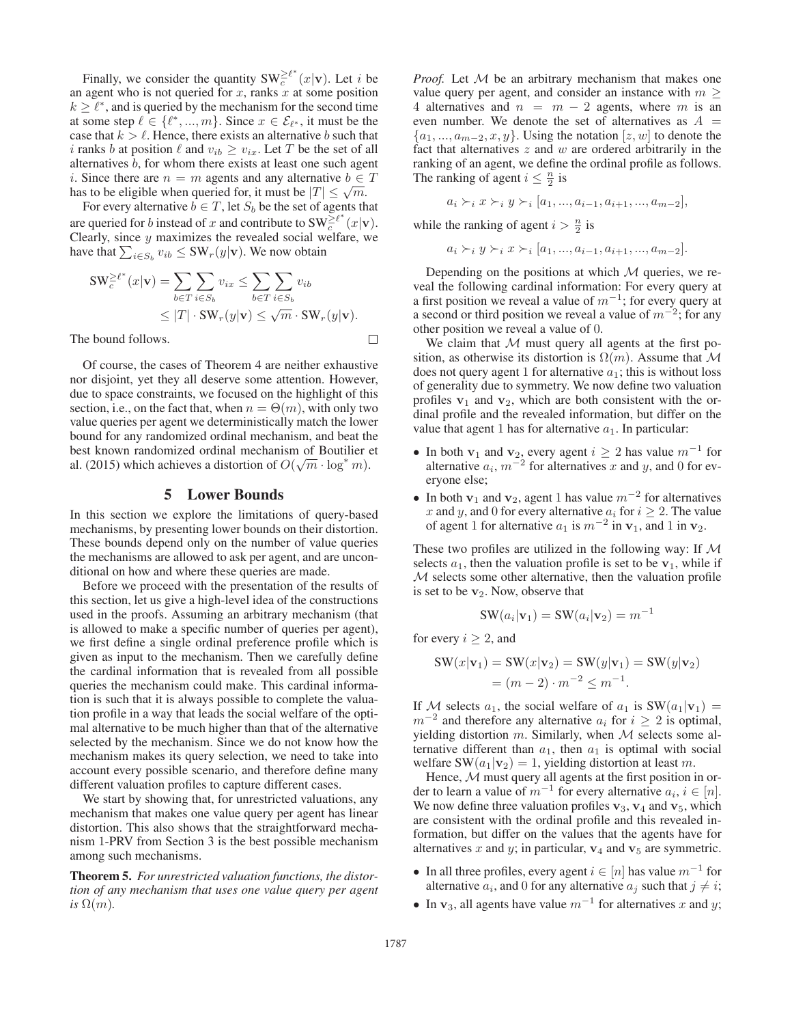Finally, we consider the quantity  $SW_c^{\geq \ell^*}(x|\mathbf{v})$ . Let *i* be agent who is not queried for x ranks x at some position an agent who is not queried for  $x$ , ranks  $x$  at some position  $k \geq \ell^*$ , and is queried by the mechanism for the second time at some step  $\ell \in \{\ell^*, ..., m\}$ . Since  $x \in \mathcal{E}_{\ell^*}$ , it must be the case that  $k > l$ . Hence, there exists an alternative b such that i ranks b at position  $\ell$  and  $v_{ib} \ge v_{ix}$ . Let T be the set of all alternatives b, for whom there exists at least one such agent *i*. Since there are  $n = m$  agents and any alternative  $b \in T$ has to be eligible when queried for, it must be  $|T| \leq \sqrt{m}$ .

For every alternative  $b \in T$ , let  $S_b$  be the set of agents that are queried for b instead of x and contribute to  $SW_c^{\geq \ell^*}(x|\mathbf{v})$ .<br>Clearly since y maximizes the revealed social welfare we Clearly, since  $y$  maximizes the revealed social welfare, we have that  $\sum_{i \in S_b} v_{ib} \leq \text{SW}_r(y|\mathbf{v})$ . We now obtain

$$
SW_c^{\geq \ell^*}(x|\mathbf{v}) = \sum_{b \in T} \sum_{i \in S_b} v_{ix} \leq \sum_{b \in T} \sum_{i \in S_b} v_{ib}
$$
  
 
$$
\leq |T| \cdot SW_r(y|\mathbf{v}) \leq \sqrt{m} \cdot SW_r(y|\mathbf{v}).
$$

The bound follows.

 $\Box$ 

Of course, the cases of Theorem 4 are neither exhaustive nor disjoint, yet they all deserve some attention. However, due to space constraints, we focused on the highlight of this section, i.e., on the fact that, when  $n = \Theta(m)$ , with only two value queries per agent we deterministically match the lower bound for any randomized ordinal mechanism, and beat the best known randomized ordinal mechanism of Boutilier et best known randomized ordinal mechanism of Bouther and  $a(2015)$  which achieves a distortion of  $O(\sqrt{m} \cdot \log^* m)$ .

## 5 Lower Bounds

In this section we explore the limitations of query-based mechanisms, by presenting lower bounds on their distortion. These bounds depend only on the number of value queries the mechanisms are allowed to ask per agent, and are unconditional on how and where these queries are made.

Before we proceed with the presentation of the results of this section, let us give a high-level idea of the constructions used in the proofs. Assuming an arbitrary mechanism (that is allowed to make a specific number of queries per agent), we first define a single ordinal preference profile which is given as input to the mechanism. Then we carefully define the cardinal information that is revealed from all possible queries the mechanism could make. This cardinal information is such that it is always possible to complete the valuation profile in a way that leads the social welfare of the optimal alternative to be much higher than that of the alternative selected by the mechanism. Since we do not know how the mechanism makes its query selection, we need to take into account every possible scenario, and therefore define many different valuation profiles to capture different cases.

We start by showing that, for unrestricted valuations, any mechanism that makes one value query per agent has linear distortion. This also shows that the straightforward mechanism 1-PRV from Section 3 is the best possible mechanism among such mechanisms.

Theorem 5. *For unrestricted valuation functions, the distortion of any mechanism that uses one value query per agent is*  $\Omega(m)$ *.* 

*Proof.* Let M be an arbitrary mechanism that makes one value query per agent, and consider an instance with  $m \geq$ 4 alternatives and  $n = m - 2$  agents, where m is an even number. We denote the set of alternatives as  $A =$  $\{a_1, ..., a_{m-2}, x, y\}$ . Using the notation  $[z, w]$  to denote the fact that alternatives  $z$  and  $w$  are ordered arbitrarily in the ranking of an agent, we define the ordinal profile as follows. The ranking of agent  $i \leq \frac{n}{2}$  is

$$
a_i \succ_i x \succ_i y \succ_i [a_1, ..., a_{i-1}, a_{i+1}, ..., a_{m-2}],
$$

while the ranking of agent  $i > \frac{n}{2}$  is

 $a_i \succ_i y \succ_i x \succ_i [a_1, ..., a_{i-1}, a_{i+1}, ..., a_{m-2}].$ 

Depending on the positions at which  $M$  queries, we reveal the following cardinal information: For every query at a first position we reveal a value of  $m^{-1}$ ; for every query at a second or third position we reveal a value of  $m^{-2}$ ; for any other position we reveal a value of 0.

We claim that  $M$  must query all agents at the first position, as otherwise its distortion is  $\Omega(m)$ . Assume that M does not query agent 1 for alternative  $a_1$ ; this is without loss of generality due to symmetry. We now define two valuation profiles  $v_1$  and  $v_2$ , which are both consistent with the ordinal profile and the revealed information, but differ on the value that agent 1 has for alternative  $a_1$ . In particular:

- In both **v**<sub>1</sub> and **v**<sub>2</sub>, every agent  $i \ge 2$  has value  $m^{-1}$  for alternative  $a_i$ ,  $m^{-2}$  for alternatives x and u and 0 for evalternative  $a_i$ ,  $m^{-2}$  for alternatives x and y, and 0 for everyone else. eryone else;
- In both **v**<sub>1</sub> and **v**<sub>2</sub>, agent 1 has value  $m^{-2}$  for alternatives x and y, and 0 for every alternative  $a_i$  for  $i \ge 2$ . The value<br>of agent 1 for alternative  $a_1$  is  $m^{-2}$  in  $y_1$  and 1 in  $y_2$ of agent 1 for alternative  $a_1$  is  $m^{-2}$  in  $v_1$ , and 1 in  $v_2$ .

These two profiles are utilized in the following way: If  $M$ selects  $a_1$ , then the valuation profile is set to be  $\mathbf{v}_1$ , while if M selects some other alternative, then the valuation profile is set to be **v**<sub>2</sub>. Now, observe that

$$
SW(a_i|\mathbf{v}_1) = SW(a_i|\mathbf{v}_2) = m^{-1}
$$

for every  $i > 2$ , and

$$
SW(x|\mathbf{v}_1) = SW(x|\mathbf{v}_2) = SW(y|\mathbf{v}_1) = SW(y|\mathbf{v}_2)
$$
  
=  $(m-2) \cdot m^{-2} \le m^{-1}$ .

If M selects  $a_1$ , the social welfare of  $a_1$  is  $SW(a_1|\mathbf{v}_1)$  =  $m^{-2}$  and therefore any alternative  $a_i$  for  $i \geq 2$  is optimal, yielding distortion m. Similarly, when  $M$  selects some alternative different than  $a_1$ , then  $a_1$  is optimal with social welfare  $SW(a_1|\mathbf{v}_2)=1$ , yielding distortion at least m.

Hence,  $M$  must query all agents at the first position in order to learn a value of  $m^{-1}$  for every alternative  $a_i$ ,  $i \in [n]$ . We now define three valuation profiles  $\mathbf{v}_3$ ,  $\mathbf{v}_4$  and  $\mathbf{v}_5$ , which are consistent with the ordinal profile and this revealed information, but differ on the values that the agents have for alternatives x and y; in particular,  $v_4$  and  $v_5$  are symmetric.

- In all three profiles, every agent  $i \in [n]$  has value  $m^{-1}$  for alternative  $a_i$ , and 0 for any alternative  $a_j$  such that  $j \neq i$ ;
- In **v**<sub>3</sub>, all agents have value  $m^{-1}$  for alternatives x and y;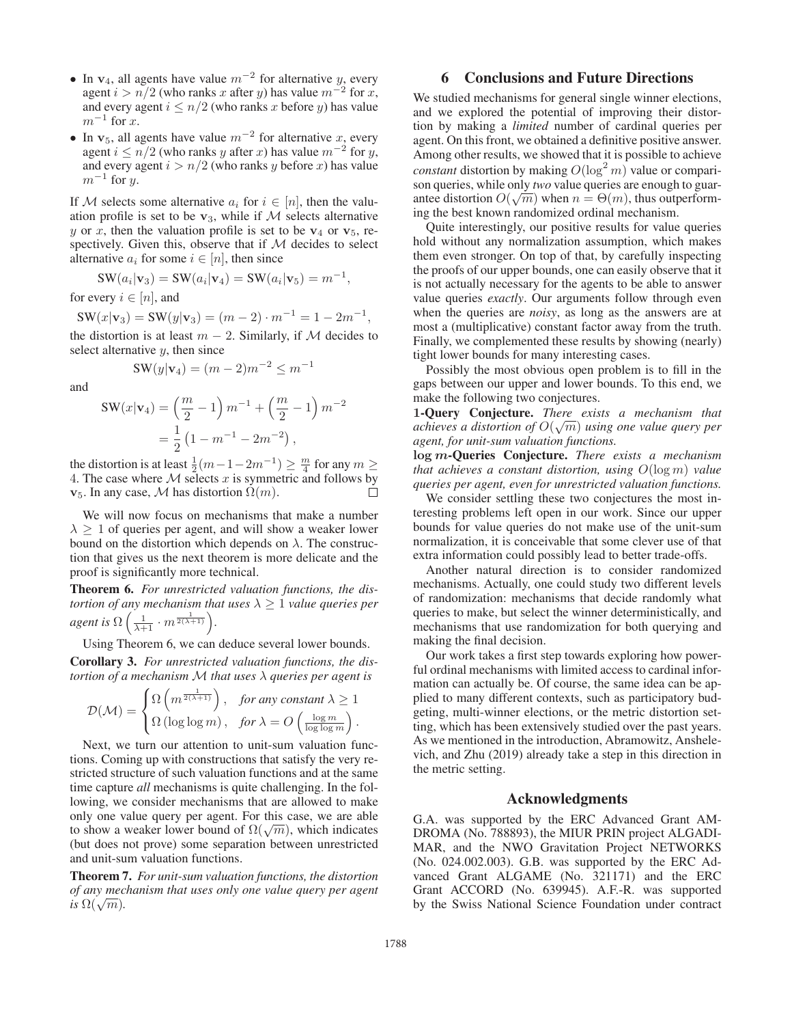- In  $v_4$ , all agents have value  $m^{-2}$  for alternative y, every agent  $i > n/2$  (who ranks x after y) has value  $m^{-2}$  for x, and every agent  $i \leq n/2$  (who ranks x before y) has value  $m^{-1}$  for x.
- In  $v_5$ , all agents have value  $m^{-2}$  for alternative x, every agent  $i \leq n/2$  (who ranks y after x) has value  $m^{-2}$  for y, and every agent  $i > n/2$  (who ranks y before x) has value  $m^{-1}$  for y.

If M selects some alternative  $a_i$  for  $i \in [n]$ , then the valuation profile is set to be  $v_3$ , while if  $M$  selects alternative y or x, then the valuation profile is set to be  $v_4$  or  $v_5$ , respectively. Given this, observe that if  $M$  decides to select alternative  $a_i$  for some  $i \in [n]$ , then since

$$
SW(a_i|\mathbf{v}_3) = SW(a_i|\mathbf{v}_4) = SW(a_i|\mathbf{v}_5) = m^{-1},
$$

for every  $i \in [n]$ , and

 $\text{SW}(x|\mathbf{v}_3) = \text{SW}(y|\mathbf{v}_3) = (m-2) \cdot m^{-1} = 1 - 2m^{-1},$ 

the distortion is at least  $m - 2$ . Similarly, if M decides to select alternative  $y$ , then since

$$
SW(y|\mathbf{v}_4) = (m-2)m^{-2} \le m^{-1}
$$

and

$$
SW(x|\mathbf{v}_4) = \left(\frac{m}{2} - 1\right)m^{-1} + \left(\frac{m}{2} - 1\right)m^{-2}
$$

$$
= \frac{1}{2}\left(1 - m^{-1} - 2m^{-2}\right),
$$

the distortion is at least  $\frac{1}{2}(m-1-2m^{-1}) \geq \frac{m}{4}$  for any  $m \geq 4$ . The case where M selects x is symmetric and follows by 4. The case where  $M$  selects  $x$  is symmetric and follows by  $\mathbf{v}_5$ . In any case, M has distortion  $\Omega(m)$ .

We will now focus on mechanisms that make a number  $\lambda > 1$  of queries per agent, and will show a weaker lower bound on the distortion which depends on  $\lambda$ . The construction that gives us the next theorem is more delicate and the proof is significantly more technical.

Theorem 6. *For unrestricted valuation functions, the distortion of any mechanism that uses*  $\lambda \geq 1$  *value queries per agent is*  $\Omega\left(\frac{1}{\lambda+1} \cdot m^{\frac{1}{2(\lambda+1)}}\right)$ .

Using Theorem 6, we can deduce several lower bounds.

Corollary 3. *For unrestricted valuation functions, the distortion of a mechanism* M *that uses* λ *queries per agent is*

$$
\mathcal{D}(\mathcal{M}) = \begin{cases} \Omega\left(m^{\frac{1}{2(\lambda+1)}}\right), & \text{for any constant } \lambda \ge 1\\ \Omega\left(\log\log m\right), & \text{for } \lambda = O\left(\frac{\log m}{\log\log m}\right). \end{cases}
$$

Next, we turn our attention to unit-sum valuation functions. Coming up with constructions that satisfy the very restricted structure of such valuation functions and at the same time capture *all* mechanisms is quite challenging. In the following, we consider mechanisms that are allowed to make only one value query per agent. For this case, we are able to show a weaker lower bound of  $\Omega(\sqrt{m})$ , which indicates (but does not prove) some separation between unrestricted and unit-sum valuation functions.

Theorem 7. *For unit-sum valuation functions, the distortion of any mechanism that uses only one value query per agent is*  $\Omega(\sqrt{m})$ .

# 6 Conclusions and Future Directions

We studied mechanisms for general single winner elections, and we explored the potential of improving their distortion by making a *limited* number of cardinal queries per agent. On this front, we obtained a definitive positive answer. Among other results, we showed that it is possible to achieve *constant* distortion by making  $O(\log^2 m)$  value or compari-<br>son queries while only *two* value queries are enough to guarson queries, while only *two* value queries are enough to guarson queries, while only two value queries are enough to guarantee distortion  $O(\sqrt{m})$  when  $n = \Theta(m)$ , thus outperform-<br>ing the best known randomized ordinal mechanism ing the best known randomized ordinal mechanism.

Quite interestingly, our positive results for value queries hold without any normalization assumption, which makes them even stronger. On top of that, by carefully inspecting the proofs of our upper bounds, one can easily observe that it is not actually necessary for the agents to be able to answer value queries *exactly*. Our arguments follow through even when the queries are *noisy*, as long as the answers are at most a (multiplicative) constant factor away from the truth. Finally, we complemented these results by showing (nearly) tight lower bounds for many interesting cases.

Possibly the most obvious open problem is to fill in the gaps between our upper and lower bounds. To this end, we make the following two conjectures.

**1**-Query Conjecture. *There exists a mechanism that a***-Query Conjecture.** *Inere exists a mechanism mation achieves a distortion of*  $O(\sqrt{m})$  *using one value query per agent, for unit-sum valuation functions.*

**log** *<sup>m</sup>*-Queries Conjecture. *There exists a mechanism that achieves a constant distortion, using* <sup>O</sup>(log <sup>m</sup>) *value queries per agent, even for unrestricted valuation functions.*

We consider settling these two conjectures the most interesting problems left open in our work. Since our upper bounds for value queries do not make use of the unit-sum normalization, it is conceivable that some clever use of that extra information could possibly lead to better trade-offs.

Another natural direction is to consider randomized mechanisms. Actually, one could study two different levels of randomization: mechanisms that decide randomly what queries to make, but select the winner deterministically, and mechanisms that use randomization for both querying and making the final decision.

Our work takes a first step towards exploring how powerful ordinal mechanisms with limited access to cardinal information can actually be. Of course, the same idea can be applied to many different contexts, such as participatory budgeting, multi-winner elections, or the metric distortion setting, which has been extensively studied over the past years. As we mentioned in the introduction, Abramowitz, Anshelevich, and Zhu (2019) already take a step in this direction in the metric setting.

#### Acknowledgments

G.A. was supported by the ERC Advanced Grant AM-DROMA (No. 788893), the MIUR PRIN project ALGADI-MAR, and the NWO Gravitation Project NETWORKS (No. 024.002.003). G.B. was supported by the ERC Advanced Grant ALGAME (No. 321171) and the ERC Grant ACCORD (No. 639945). A.F.-R. was supported by the Swiss National Science Foundation under contract